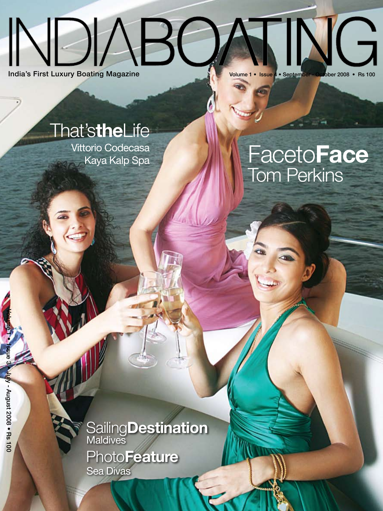# $ABC$  $\overline{\mathsf{G}}$ India's First Luxury Boating Magazine Volume 1 • Issue 4 • September - October 2008 • Rs 100

That's**the**Life

Vittorio Codecasa Kaya Kalp Spa

## **FacetoFace** Tom Perkins

**SailingDestination PhotoFeature Maldives** 

Sea Divas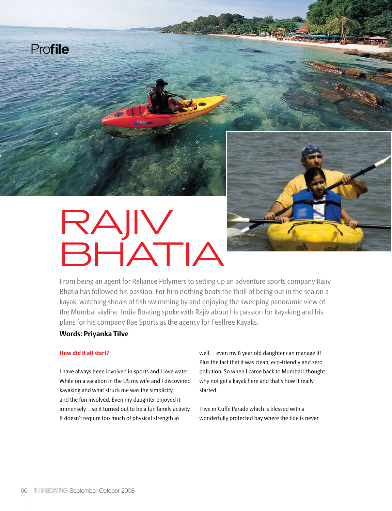



# RAJIV BHATIA

From being an agent for Reliance Polymers to setting up an adventure sports company Rajiv Bhatia has followed his passion. For him nothing beats the thrill of being out in the sea on a kayak, watching shoals of fish swimming by and enjoying the sweeping panoramic view of the Mumbai skyline. India Boating spoke with Rajiv about his passion for kayaking and his plans for his company Rae Sports as the agency for Feelfree Kayaks.

## **Words: Priyanka Tilve**

#### **How did it all start?**

I have always been involved in sports and I love water. While on a vacation in the US my wife and I discovered kayaking and what struck me was the simplicity and the fun involved. Even my daughter enjoyed it immensely…so it turned out to be a fun family activity. It doesn't require too much of physical strength as

well… even my 8 year old daughter can manage it! Plus the fact that it was clean, eco-friendly and zero pollution. So when I came back to Mumbai I thought why not get a kayak here and that's how it really started.

I live in Cuffe Parade which is blessed with a wonderfully protected bay where the tide is never